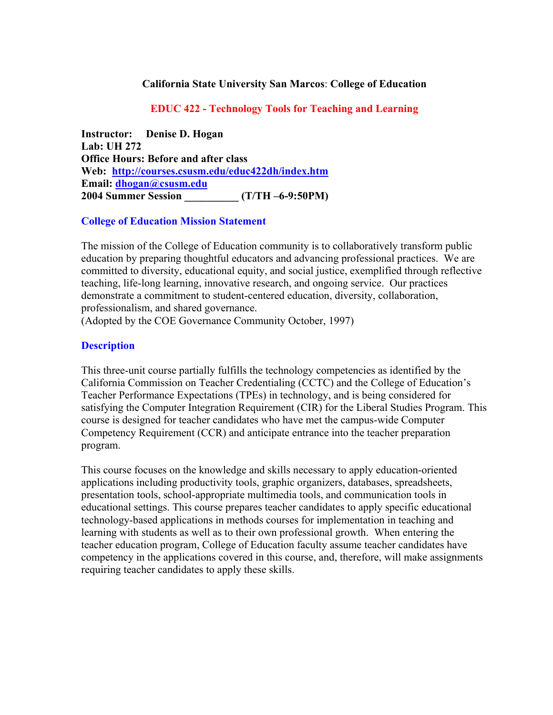#### **California State University San Marcos**: **College of Education**

#### **EDUC 422 - Technology Tools for Teaching and Learning**

**Instructor: Denise D. Hogan Lab: UH 272 Office Hours: Before and after class Web: http://courses.csusm.edu/educ422dh/index.htm Email: dhogan@csusm.edu 2004 Summer Session \_\_\_\_\_\_\_\_\_\_ (T/TH –6-9:50PM)**

#### **College of Education Mission Statement**

The mission of the College of Education community is to collaboratively transform public education by preparing thoughtful educators and advancing professional practices. We are committed to diversity, educational equity, and social justice, exemplified through reflective teaching, life-long learning, innovative research, and ongoing service. Our practices demonstrate a commitment to student-centered education, diversity, collaboration, professionalism, and shared governance.

(Adopted by the COE Governance Community October, 1997)

### **Description**

This three-unit course partially fulfills the technology competencies as identified by the California Commission on Teacher Credentialing (CCTC) and the College of Education's Teacher Performance Expectations (TPEs) in technology, and is being considered for satisfying the Computer Integration Requirement (CIR) for the Liberal Studies Program. This course is designed for teacher candidates who have met the campus-wide Computer Competency Requirement (CCR) and anticipate entrance into the teacher preparation program.

This course focuses on the knowledge and skills necessary to apply education-oriented applications including productivity tools, graphic organizers, databases, spreadsheets, presentation tools, school-appropriate multimedia tools, and communication tools in educational settings. This course prepares teacher candidates to apply specific educational technology-based applications in methods courses for implementation in teaching and learning with students as well as to their own professional growth. When entering the teacher education program, College of Education faculty assume teacher candidates have competency in the applications covered in this course, and, therefore, will make assignments requiring teacher candidates to apply these skills.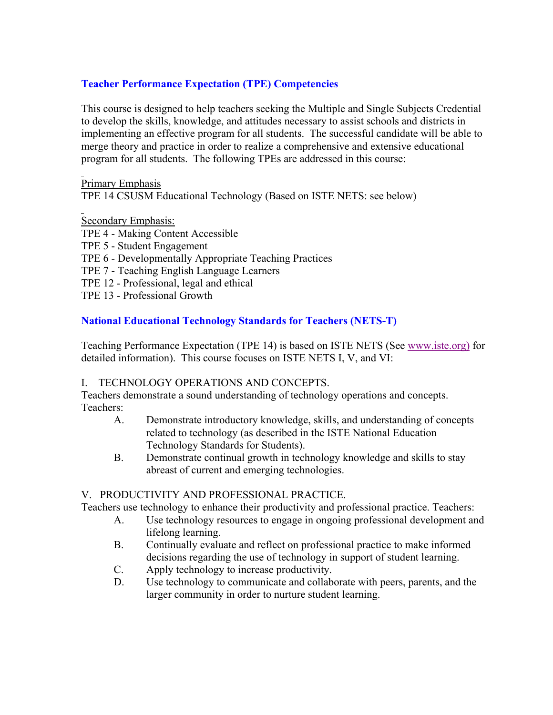## **Teacher Performance Expectation (TPE) Competencies**

This course is designed to help teachers seeking the Multiple and Single Subjects Credential to develop the skills, knowledge, and attitudes necessary to assist schools and districts in implementing an effective program for all students. The successful candidate will be able to merge theory and practice in order to realize a comprehensive and extensive educational program for all students. The following TPEs are addressed in this course:

Primary Emphasis

TPE 14 CSUSM Educational Technology (Based on ISTE NETS: see below)

Secondary Emphasis:

- TPE 4 Making Content Accessible
- TPE 5 Student Engagement
- TPE 6 Developmentally Appropriate Teaching Practices
- TPE 7 Teaching English Language Learners
- TPE 12 Professional, legal and ethical
- TPE 13 Professional Growth

## **National Educational Technology Standards for Teachers (NETS-T)**

Teaching Performance Expectation (TPE 14) is based on ISTE NETS (See www.iste.org) for detailed information). This course focuses on ISTE NETS I, V, and VI:

### I. TECHNOLOGY OPERATIONS AND CONCEPTS.

Teachers demonstrate a sound understanding of technology operations and concepts. Teachers:

- A. Demonstrate introductory knowledge, skills, and understanding of concepts related to technology (as described in the ISTE National Education Technology Standards for Students).
- B. Demonstrate continual growth in technology knowledge and skills to stay abreast of current and emerging technologies.

## V. PRODUCTIVITY AND PROFESSIONAL PRACTICE.

Teachers use technology to enhance their productivity and professional practice. Teachers:

- A. Use technology resources to engage in ongoing professional development and lifelong learning.
- B. Continually evaluate and reflect on professional practice to make informed decisions regarding the use of technology in support of student learning.
- C. Apply technology to increase productivity.
- D. Use technology to communicate and collaborate with peers, parents, and the larger community in order to nurture student learning.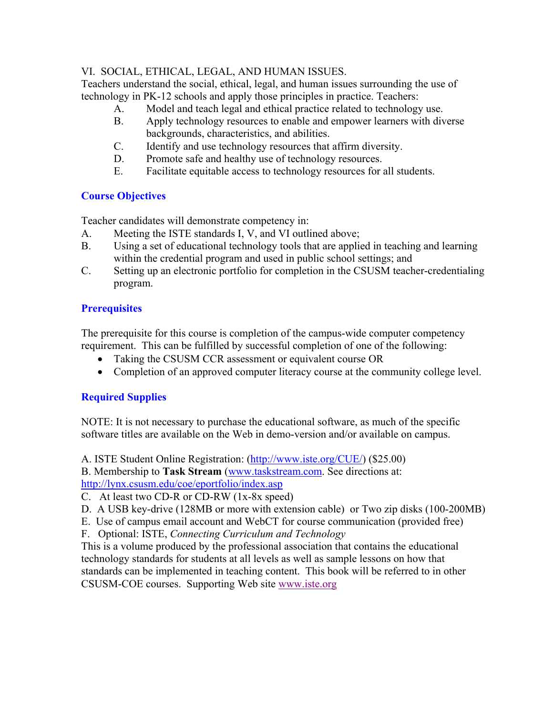## VI. SOCIAL, ETHICAL, LEGAL, AND HUMAN ISSUES.

Teachers understand the social, ethical, legal, and human issues surrounding the use of technology in PK-12 schools and apply those principles in practice. Teachers:

- A. Model and teach legal and ethical practice related to technology use.
- B. Apply technology resources to enable and empower learners with diverse backgrounds, characteristics, and abilities.
- C. Identify and use technology resources that affirm diversity.
- D. Promote safe and healthy use of technology resources.
- E. Facilitate equitable access to technology resources for all students.

# **Course Objectives**

Teacher candidates will demonstrate competency in:

- A. Meeting the ISTE standards I, V, and VI outlined above;
- B. Using a set of educational technology tools that are applied in teaching and learning within the credential program and used in public school settings; and
- C. Setting up an electronic portfolio for completion in the CSUSM teacher-credentialing program.

# **Prerequisites**

The prerequisite for this course is completion of the campus-wide computer competency requirement. This can be fulfilled by successful completion of one of the following:

- Taking the CSUSM CCR assessment or equivalent course OR
- Completion of an approved computer literacy course at the community college level.

# **Required Supplies**

NOTE: It is not necessary to purchase the educational software, as much of the specific software titles are available on the Web in demo-version and/or available on campus.

A. ISTE Student Online Registration: (http://www.iste.org/CUE/) (\$25.00)

B. Membership to **Task Stream** (www.taskstream.com. See directions at: http://lynx.csusm.edu/coe/eportfolio/index.asp

C. At least two CD-R or CD-RW (1x-8x speed)

- D. A USB key-drive (128MB or more with extension cable) or Two zip disks (100-200MB)
- E. Use of campus email account and WebCT for course communication (provided free)
- F. Optional: ISTE, *Connecting Curriculum and Technology*

This is a volume produced by the professional association that contains the educational technology standards for students at all levels as well as sample lessons on how that standards can be implemented in teaching content. This book will be referred to in other CSUSM-COE courses. Supporting Web site www.iste.org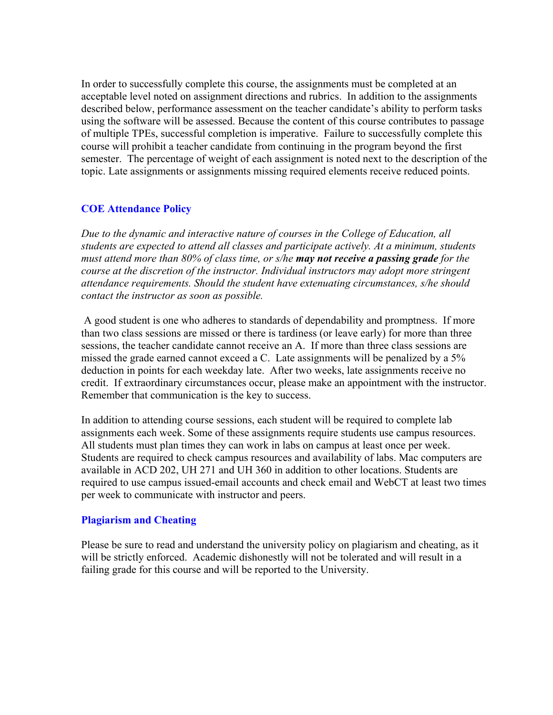In order to successfully complete this course, the assignments must be completed at an acceptable level noted on assignment directions and rubrics. In addition to the assignments described below, performance assessment on the teacher candidate's ability to perform tasks using the software will be assessed. Because the content of this course contributes to passage of multiple TPEs, successful completion is imperative. Failure to successfully complete this course will prohibit a teacher candidate from continuing in the program beyond the first semester. The percentage of weight of each assignment is noted next to the description of the topic. Late assignments or assignments missing required elements receive reduced points.

## **COE Attendance Policy**

*Due to the dynamic and interactive nature of courses in the College of Education, all students are expected to attend all classes and participate actively. At a minimum, students must attend more than 80% of class time, or s/he may not receive a passing grade for the course at the discretion of the instructor. Individual instructors may adopt more stringent attendance requirements. Should the student have extenuating circumstances, s/he should contact the instructor as soon as possible.*

 A good student is one who adheres to standards of dependability and promptness. If more than two class sessions are missed or there is tardiness (or leave early) for more than three sessions, the teacher candidate cannot receive an A. If more than three class sessions are missed the grade earned cannot exceed a C. Late assignments will be penalized by a 5% deduction in points for each weekday late. After two weeks, late assignments receive no credit. If extraordinary circumstances occur, please make an appointment with the instructor. Remember that communication is the key to success.

In addition to attending course sessions, each student will be required to complete lab assignments each week. Some of these assignments require students use campus resources. All students must plan times they can work in labs on campus at least once per week. Students are required to check campus resources and availability of labs. Mac computers are available in ACD 202, UH 271 and UH 360 in addition to other locations. Students are required to use campus issued-email accounts and check email and WebCT at least two times per week to communicate with instructor and peers.

### **Plagiarism and Cheating**

Please be sure to read and understand the university policy on plagiarism and cheating, as it will be strictly enforced. Academic dishonestly will not be tolerated and will result in a failing grade for this course and will be reported to the University.